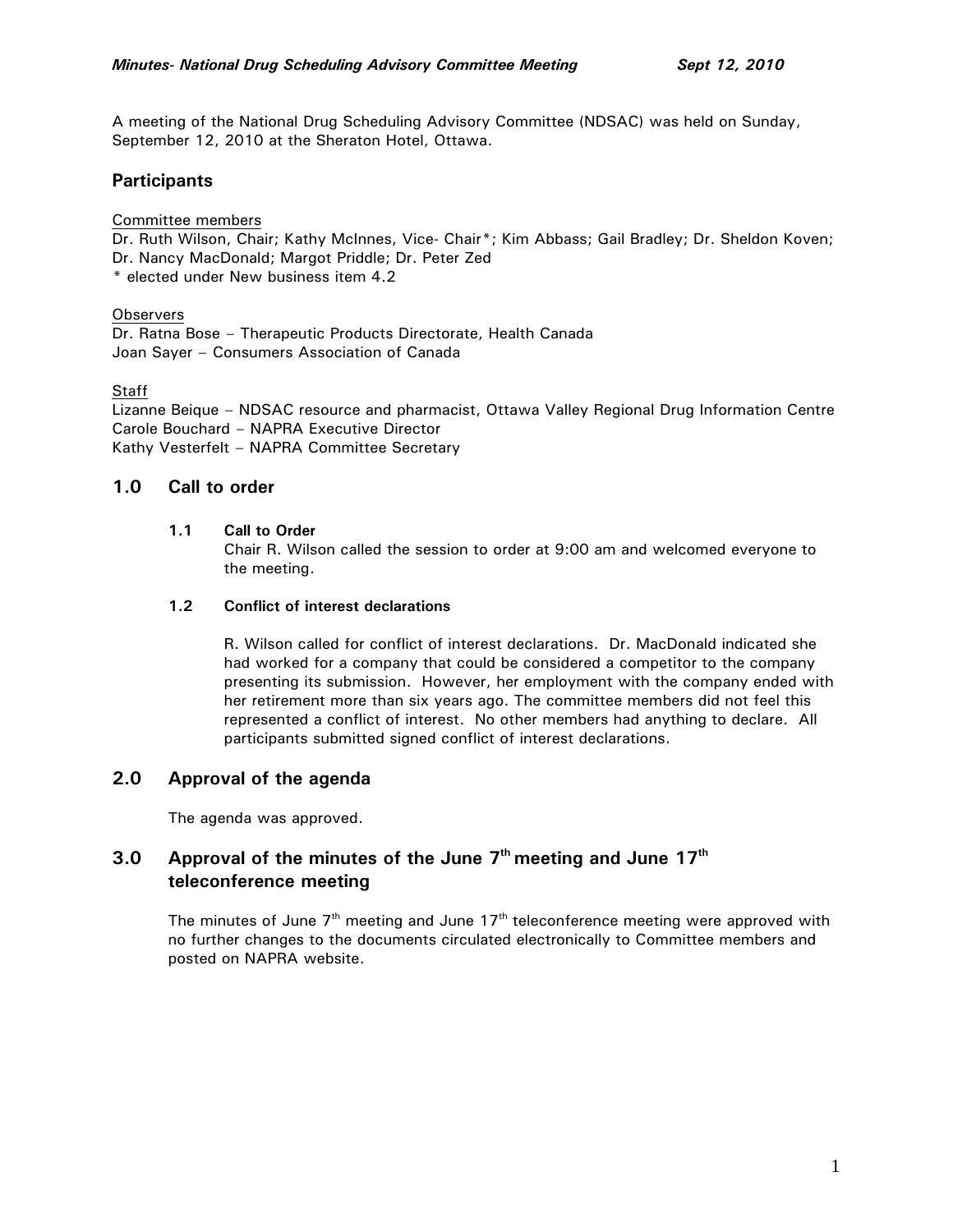A meeting of the National Drug Scheduling Advisory Committee (NDSAC) was held on Sunday, September 12, 2010 at the Sheraton Hotel, Ottawa.

# **Participants**

#### Committee members

Dr. Ruth Wilson, Chair; Kathy McInnes, Vice- Chair\*; Kim Abbass; Gail Bradley; Dr. Sheldon Koven; Dr. Nancy MacDonald; Margot Priddle; Dr. Peter Zed \* elected under New business item 4.2

### **Observers**

Dr. Ratna Bose – Therapeutic Products Directorate, Health Canada Joan Sayer – Consumers Association of Canada

### Staff

Lizanne Beique – NDSAC resource and pharmacist, Ottawa Valley Regional Drug Information Centre Carole Bouchard – NAPRA Executive Director Kathy Vesterfelt – NAPRA Committee Secretary

# **1.0 Call to order**

### **1.1 Call to Order**

Chair R. Wilson called the session to order at 9:00 am and welcomed everyone to the meeting.

#### **1.2 Conflict of interest declarations**

R. Wilson called for conflict of interest declarations. Dr. MacDonald indicated she had worked for a company that could be considered a competitor to the company presenting its submission. However, her employment with the company ended with her retirement more than six years ago. The committee members did not feel this represented a conflict of interest. No other members had anything to declare. All participants submitted signed conflict of interest declarations.

# **2.0 Approval of the agenda**

The agenda was approved.

# **3.0 Approval of the minutes of the June 7th meeting and June 17th teleconference meeting**

The minutes of June  $7<sup>th</sup>$  meeting and June 17<sup>th</sup> teleconference meeting were approved with no further changes to the documents circulated electronically to Committee members and posted on NAPRA website.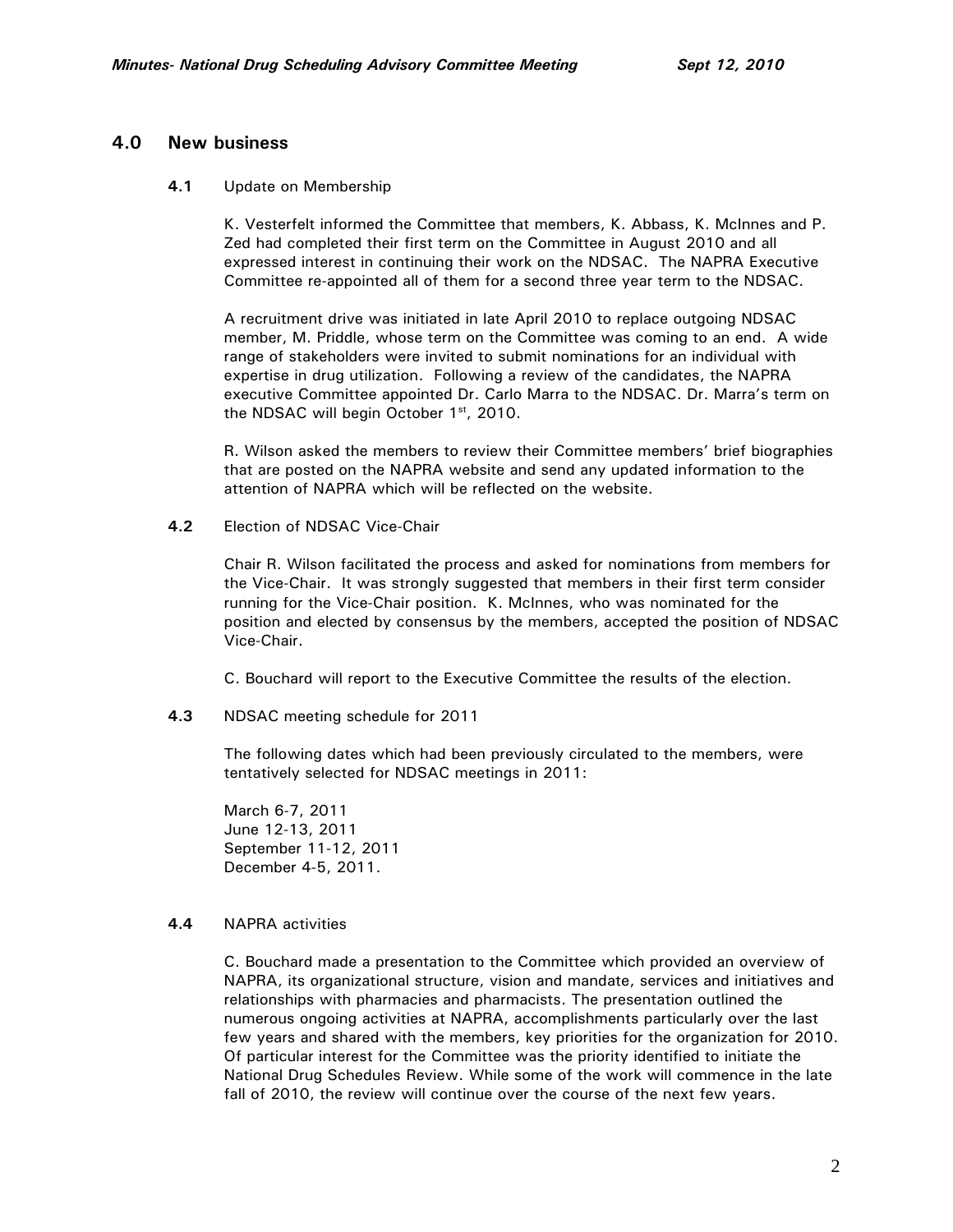### **4.0 New business**

#### **4.1** Update on Membership

K. Vesterfelt informed the Committee that members, K. Abbass, K. McInnes and P. Zed had completed their first term on the Committee in August 2010 and all expressed interest in continuing their work on the NDSAC. The NAPRA Executive Committee re-appointed all of them for a second three year term to the NDSAC.

A recruitment drive was initiated in late April 2010 to replace outgoing NDSAC member, M. Priddle, whose term on the Committee was coming to an end. A wide range of stakeholders were invited to submit nominations for an individual with expertise in drug utilization. Following a review of the candidates, the NAPRA executive Committee appointed Dr. Carlo Marra to the NDSAC. Dr. Marra's term on the NDSAC will begin October 1st, 2010.

R. Wilson asked the members to review their Committee members' brief biographies that are posted on the NAPRA website and send any updated information to the attention of NAPRA which will be reflected on the website.

**4.2** Election of NDSAC Vice-Chair

Chair R. Wilson facilitated the process and asked for nominations from members for the Vice-Chair. It was strongly suggested that members in their first term consider running for the Vice-Chair position. K. McInnes, who was nominated for the position and elected by consensus by the members, accepted the position of NDSAC Vice-Chair.

C. Bouchard will report to the Executive Committee the results of the election.

**4.3** NDSAC meeting schedule for 2011

The following dates which had been previously circulated to the members, were tentatively selected for NDSAC meetings in 2011:

March 6-7, 2011 June 12-13, 2011 September 11-12, 2011 December 4-5, 2011.

### **4.4** NAPRA activities

C. Bouchard made a presentation to the Committee which provided an overview of NAPRA, its organizational structure, vision and mandate, services and initiatives and relationships with pharmacies and pharmacists. The presentation outlined the numerous ongoing activities at NAPRA, accomplishments particularly over the last few years and shared with the members, key priorities for the organization for 2010. Of particular interest for the Committee was the priority identified to initiate the National Drug Schedules Review. While some of the work will commence in the late fall of 2010, the review will continue over the course of the next few years.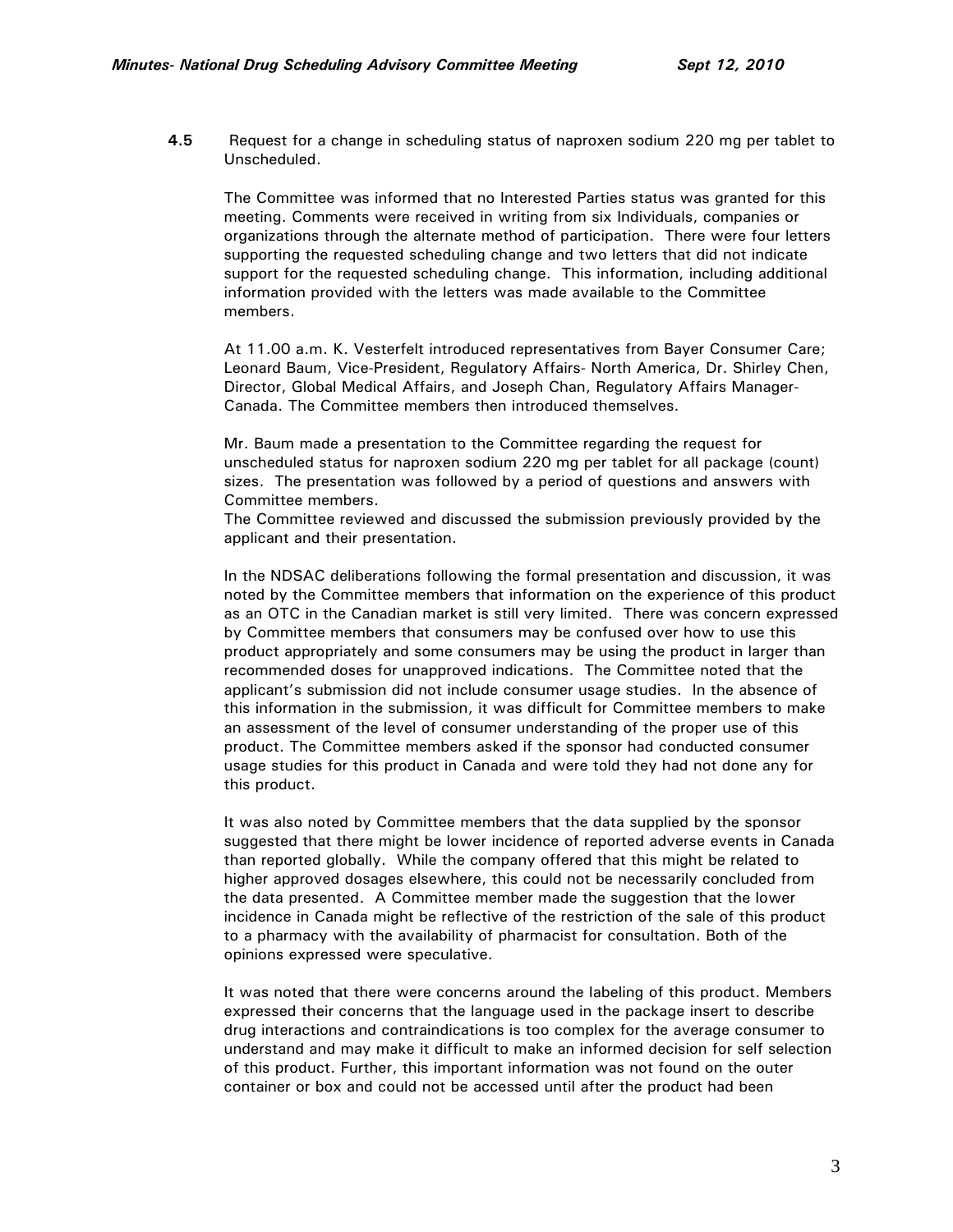**4.5** Request for a change in scheduling status of naproxen sodium 220 mg per tablet to Unscheduled.

The Committee was informed that no Interested Parties status was granted for this meeting. Comments were received in writing from six Individuals, companies or organizations through the alternate method of participation. There were four letters supporting the requested scheduling change and two letters that did not indicate support for the requested scheduling change. This information, including additional information provided with the letters was made available to the Committee members.

At 11.00 a.m. K. Vesterfelt introduced representatives from Bayer Consumer Care; Leonard Baum, Vice-President, Regulatory Affairs- North America, Dr. Shirley Chen, Director, Global Medical Affairs, and Joseph Chan, Regulatory Affairs Manager-Canada. The Committee members then introduced themselves.

Mr. Baum made a presentation to the Committee regarding the request for unscheduled status for naproxen sodium 220 mg per tablet for all package (count) sizes. The presentation was followed by a period of questions and answers with Committee members.

The Committee reviewed and discussed the submission previously provided by the applicant and their presentation.

In the NDSAC deliberations following the formal presentation and discussion, it was noted by the Committee members that information on the experience of this product as an OTC in the Canadian market is still very limited. There was concern expressed by Committee members that consumers may be confused over how to use this product appropriately and some consumers may be using the product in larger than recommended doses for unapproved indications. The Committee noted that the applicant's submission did not include consumer usage studies. In the absence of this information in the submission, it was difficult for Committee members to make an assessment of the level of consumer understanding of the proper use of this product. The Committee members asked if the sponsor had conducted consumer usage studies for this product in Canada and were told they had not done any for this product.

It was also noted by Committee members that the data supplied by the sponsor suggested that there might be lower incidence of reported adverse events in Canada than reported globally. While the company offered that this might be related to higher approved dosages elsewhere, this could not be necessarily concluded from the data presented. A Committee member made the suggestion that the lower incidence in Canada might be reflective of the restriction of the sale of this product to a pharmacy with the availability of pharmacist for consultation. Both of the opinions expressed were speculative.

It was noted that there were concerns around the labeling of this product. Members expressed their concerns that the language used in the package insert to describe drug interactions and contraindications is too complex for the average consumer to understand and may make it difficult to make an informed decision for self selection of this product. Further, this important information was not found on the outer container or box and could not be accessed until after the product had been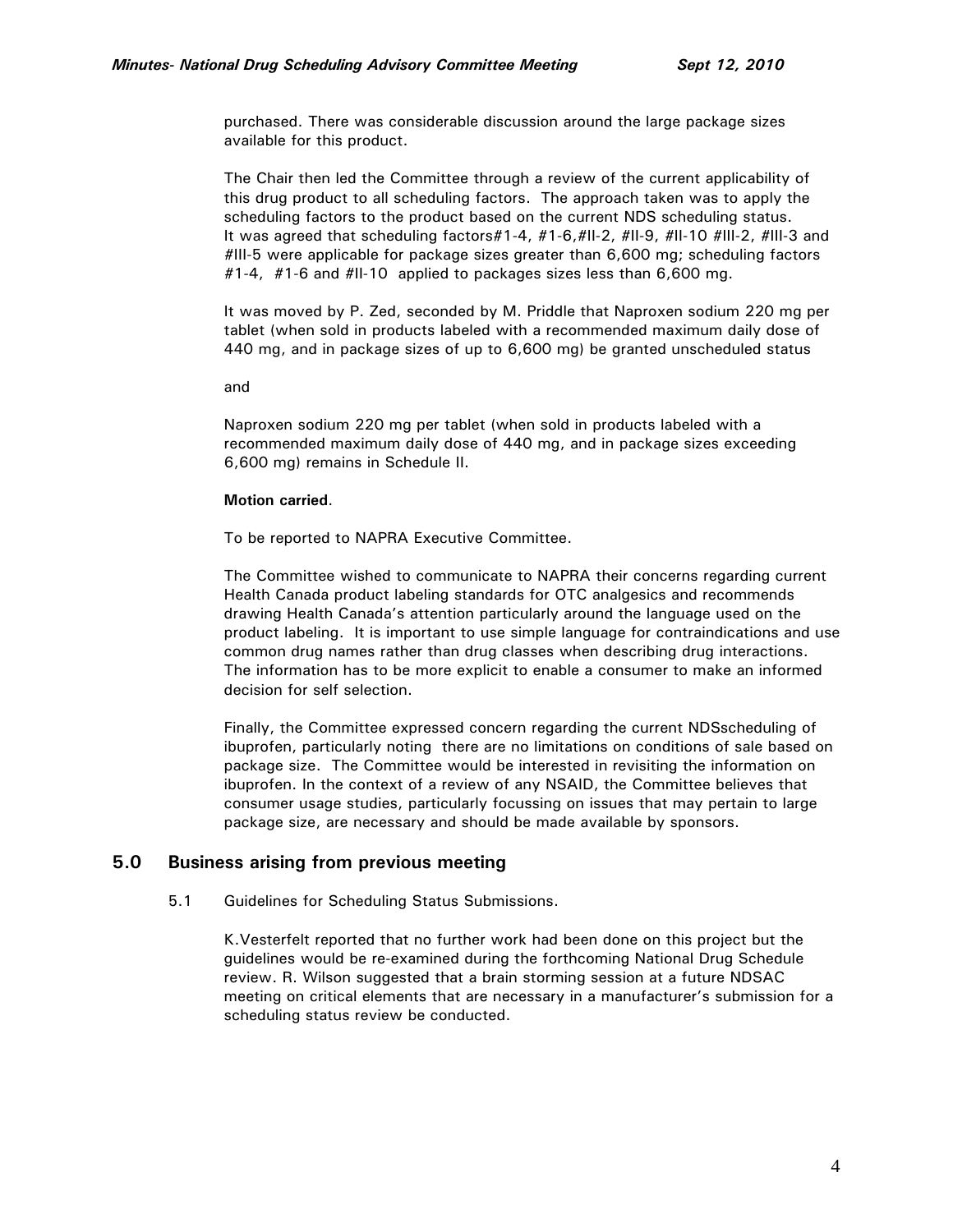purchased. There was considerable discussion around the large package sizes available for this product.

The Chair then led the Committee through a review of the current applicability of this drug product to all scheduling factors. The approach taken was to apply the scheduling factors to the product based on the current NDS scheduling status. It was agreed that scheduling factors#1-4, #1-6,#II-2, #II-9, #II-10 #III-2, #III-3 and #III-5 were applicable for package sizes greater than 6,600 mg; scheduling factors #1-4, #1-6 and #II-10 applied to packages sizes less than 6,600 mg.

It was moved by P. Zed, seconded by M. Priddle that Naproxen sodium 220 mg per tablet (when sold in products labeled with a recommended maximum daily dose of 440 mg, and in package sizes of up to 6,600 mg) be granted unscheduled status

and

Naproxen sodium 220 mg per tablet (when sold in products labeled with a recommended maximum daily dose of 440 mg, and in package sizes exceeding 6,600 mg) remains in Schedule II.

#### **Motion carried**.

To be reported to NAPRA Executive Committee.

The Committee wished to communicate to NAPRA their concerns regarding current Health Canada product labeling standards for OTC analgesics and recommends drawing Health Canada's attention particularly around the language used on the product labeling. It is important to use simple language for contraindications and use common drug names rather than drug classes when describing drug interactions. The information has to be more explicit to enable a consumer to make an informed decision for self selection.

Finally, the Committee expressed concern regarding the current NDSscheduling of ibuprofen, particularly noting there are no limitations on conditions of sale based on package size. The Committee would be interested in revisiting the information on ibuprofen. In the context of a review of any NSAID, the Committee believes that consumer usage studies, particularly focussing on issues that may pertain to large package size, are necessary and should be made available by sponsors.

### **5.0 Business arising from previous meeting**

5.1 Guidelines for Scheduling Status Submissions.

K.Vesterfelt reported that no further work had been done on this project but the guidelines would be re-examined during the forthcoming National Drug Schedule review. R. Wilson suggested that a brain storming session at a future NDSAC meeting on critical elements that are necessary in a manufacturer's submission for a scheduling status review be conducted.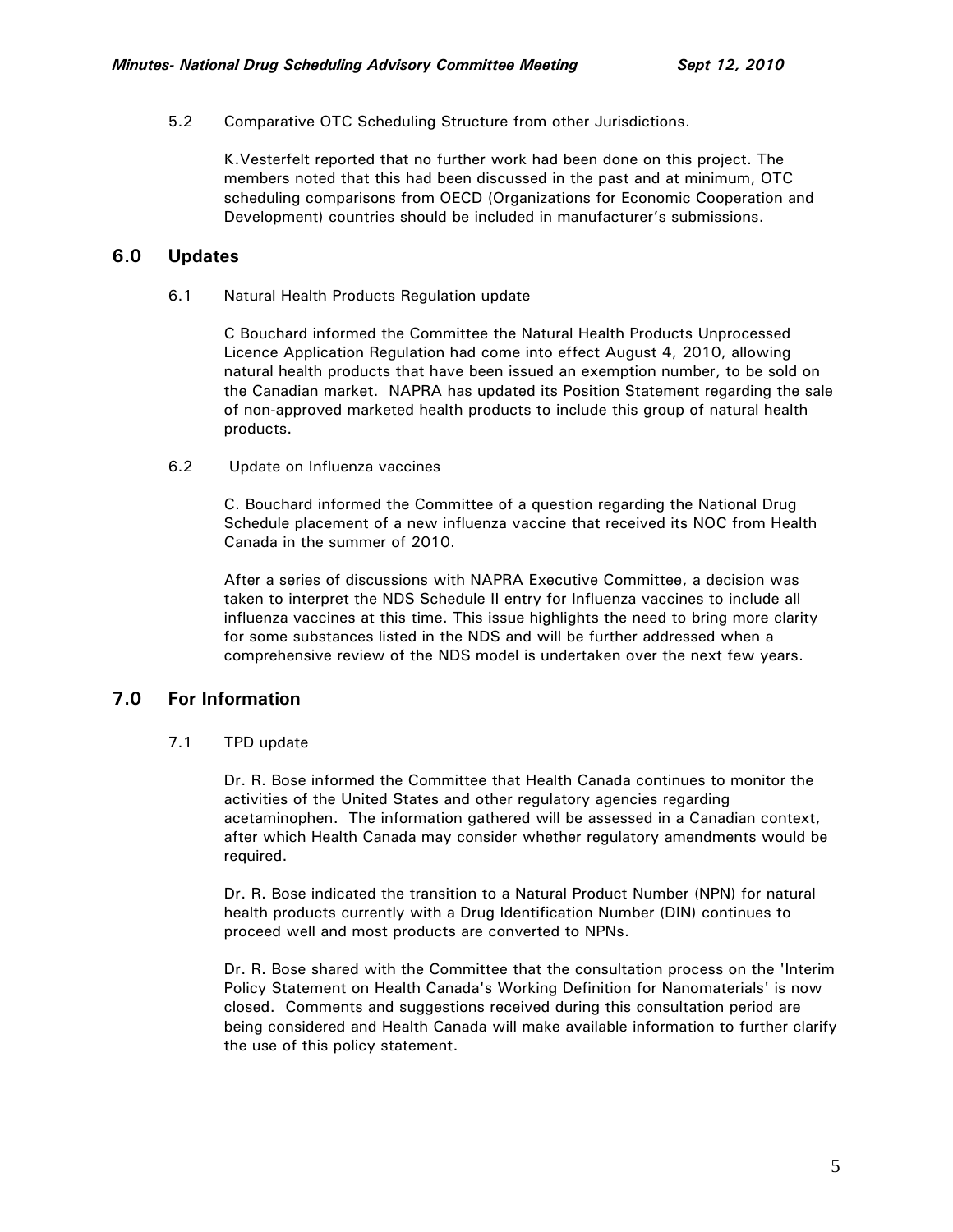### 5.2 Comparative OTC Scheduling Structure from other Jurisdictions.

K.Vesterfelt reported that no further work had been done on this project. The members noted that this had been discussed in the past and at minimum, OTC scheduling comparisons from OECD (Organizations for Economic Cooperation and Development) countries should be included in manufacturer's submissions.

# **6.0 Updates**

6.1 Natural Health Products Regulation update

C Bouchard informed the Committee the Natural Health Products Unprocessed Licence Application Regulation had come into effect August 4, 2010, allowing natural health products that have been issued an exemption number, to be sold on the Canadian market. NAPRA has updated its Position Statement regarding the sale of non-approved marketed health products to include this group of natural health products.

6.2 Update on Influenza vaccines

C. Bouchard informed the Committee of a question regarding the National Drug Schedule placement of a new influenza vaccine that received its NOC from Health Canada in the summer of 2010.

After a series of discussions with NAPRA Executive Committee, a decision was taken to interpret the NDS Schedule II entry for Influenza vaccines to include all influenza vaccines at this time. This issue highlights the need to bring more clarity for some substances listed in the NDS and will be further addressed when a comprehensive review of the NDS model is undertaken over the next few years.

# **7.0 For Information**

7.1 TPD update

Dr. R. Bose informed the Committee that Health Canada continues to monitor the activities of the United States and other regulatory agencies regarding acetaminophen. The information gathered will be assessed in a Canadian context, after which Health Canada may consider whether regulatory amendments would be required.

Dr. R. Bose indicated the transition to a Natural Product Number (NPN) for natural health products currently with a Drug Identification Number (DIN) continues to proceed well and most products are converted to NPNs.

Dr. R. Bose shared with the Committee that the consultation process on the 'Interim Policy Statement on Health Canada's Working Definition for Nanomaterials' is now closed. Comments and suggestions received during this consultation period are being considered and Health Canada will make available information to further clarify the use of this policy statement.